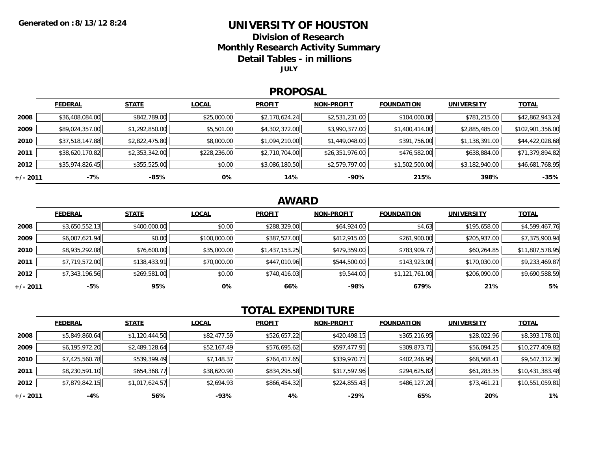### **UNIVERSITY OF HOUSTON**

**Division of Research**

**Monthly Research Activity Summary**

**Detail Tables - in millions**

**JULY**

#### **PROPOSAL**

|            | <b>FEDERAL</b>  | <b>STATE</b>   | <b>LOCAL</b> | <b>PROFIT</b>  | <b>NON-PROFIT</b> | <b>FOUNDATION</b> | <b>UNIVERSITY</b> | <b>TOTAL</b>     |
|------------|-----------------|----------------|--------------|----------------|-------------------|-------------------|-------------------|------------------|
| 2008       | \$36,408,084.00 | \$842,789.00   | \$25,000.00  | \$2,170,624.24 | \$2,531,231.00    | \$104,000.00      | \$781,215.00      | \$42,862,943.24  |
| 2009       | \$89,024,357.00 | \$1,292,850.00 | \$5,501.00   | \$4,302,372.00 | \$3,990,377.00    | \$1,400,414.00    | \$2,885,485.00    | \$102,901,356.00 |
| 2010       | \$37,518,147.88 | \$2,822,475.80 | \$8,000.00   | \$1,094,210.00 | \$1,449,048.00    | \$391,756.00      | \$1,138,391.00    | \$44,422,028.68  |
| 2011       | \$38,620,170.82 | \$2,353,342.00 | \$228,236.00 | \$2,710,704.00 | \$26,351,976.00   | \$476,582.00      | \$638,884.00      | \$71,379,894.82  |
| 2012       | \$35,974,826.45 | \$355,525.00   | \$0.00       | \$3,086,180.50 | \$2,579,797.00    | \$1,502,500.00    | \$3,182,940.00    | \$46,681,768.95  |
| $+/- 2011$ | $-7\%$          | -85%           | 0%           | 14%            | $-90\%$           | 215%              | 398%              | $-35%$           |

## **AWARD**

|          | <b>FEDERAL</b> | <b>STATE</b> | <b>LOCAL</b> | <b>PROFIT</b>  | <b>NON-PROFIT</b> | <b>FOUNDATION</b> | <b>UNIVERSITY</b> | <b>TOTAL</b>    |
|----------|----------------|--------------|--------------|----------------|-------------------|-------------------|-------------------|-----------------|
| 2008     | \$3,650,552.13 | \$400,000.00 | \$0.00       | \$288,329.00   | \$64,924.00       | \$4.63            | \$195,658.00      | \$4,599,467.76  |
| 2009     | \$6,007,621.94 | \$0.00       | \$100,000.00 | \$387,527.00   | \$412,915.00      | \$261,900.00      | \$205,937.00      | \$7,375,900.94  |
| 2010     | \$8,935,292.08 | \$76,600.00  | \$35,000.00  | \$1,437,153.25 | \$479,359.00      | \$783,909.77      | \$60,264.85       | \$11,807,578.95 |
| 2011     | \$7,719,572.00 | \$138,433.91 | \$70,000.00  | \$447,010.96   | \$544,500.00      | \$143,923.00      | \$170,030.00      | \$9,233,469.87  |
| 2012     | \$7,343,196.56 | \$269,581.00 | \$0.00       | \$740,416.03   | \$9,544.00        | \$1,121,761.00    | \$206,090.00      | \$9,690,588.59  |
| +/- 2011 | $-5%$          | 95%          | 0%           | 66%            | -98%              | 679%              | 21%               | 5%              |

# **TOTAL EXPENDITURE**

|          | <b>FEDERAL</b> | <b>STATE</b>   | <b>LOCAL</b> | <b>PROFIT</b> | <b>NON-PROFIT</b> | <b>FOUNDATION</b> | <b>UNIVERSITY</b> | <b>TOTAL</b>    |
|----------|----------------|----------------|--------------|---------------|-------------------|-------------------|-------------------|-----------------|
| 2008     | \$5,849,860.64 | \$1,120,444.50 | \$82,477.59  | \$526,657.22  | \$420,498.15      | \$365,216.95      | \$28,022.96       | \$8,393,178.01  |
| 2009     | \$6,195,972.20 | \$2,489,128.64 | \$52,167.49  | \$576,695.62  | \$597,477.91      | \$309,873.71      | \$56,094.25       | \$10,277,409.82 |
| 2010     | \$7,425,560.78 | \$539,399.49   | \$7,148.37   | \$764,417.65  | \$339,970.71      | \$402,246.95      | \$68,568.41       | \$9,547,312.36  |
| 2011     | \$8,230,591.10 | \$654,368.77   | \$38,620.90  | \$834,295.58  | \$317,597.96      | \$294,625.82      | \$61,283.35       | \$10,431,383.48 |
| 2012     | \$7,879,842.15 | \$1,017,624.57 | \$2,694.93   | \$866,454.32  | \$224,855.43      | \$486,127.20      | \$73,461.21       | \$10,551,059.81 |
| +/- 2011 | -4%            | 56%            | -93%         | 4%            | $-29%$            | 65%               | 20%               | $1\%$           |